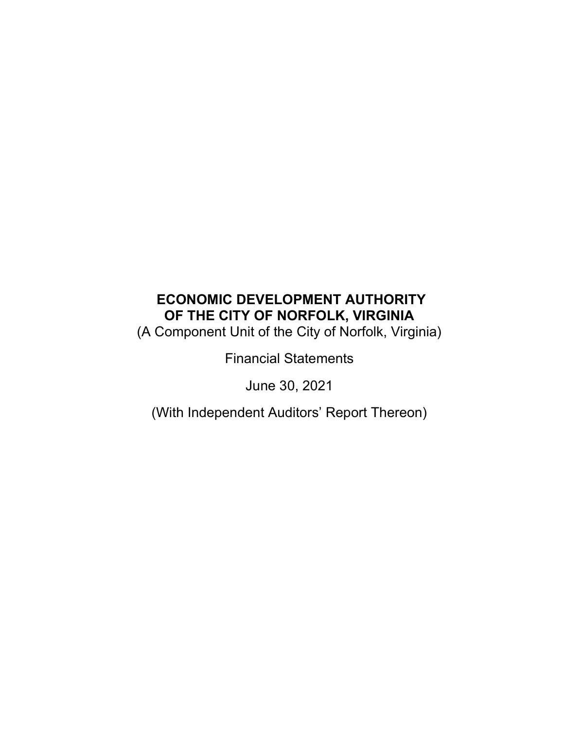# ECONOMIC DEVELOPMENT AUTHORITY OF THE CITY OF NORFOLK, VIRGINIA

(A Component Unit of the City of Norfolk, Virginia)

Financial Statements

June 30, 2021

(With Independent Auditors' Report Thereon)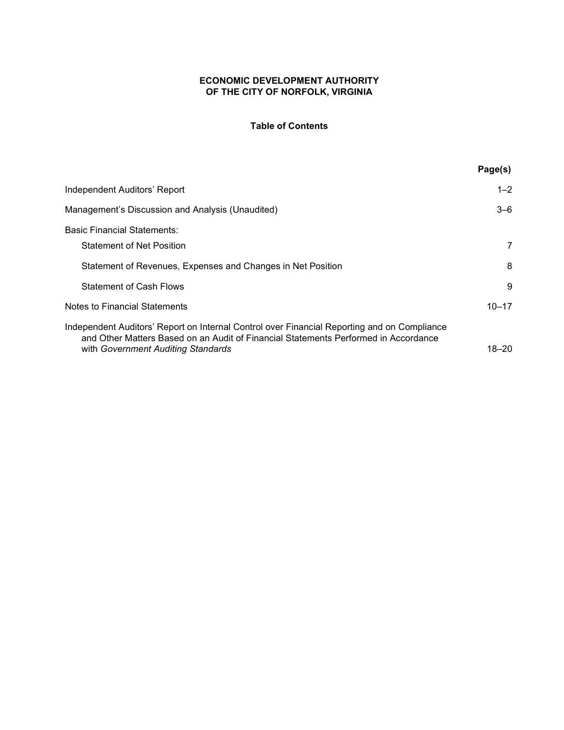## ECONOMIC DEVELOPMENT AUTHORITY OF THE CITY OF NORFOLK, VIRGINIA

### Table of Contents

|                                                                                                                                                                                    | Page(s)   |
|------------------------------------------------------------------------------------------------------------------------------------------------------------------------------------|-----------|
| Independent Auditors' Report                                                                                                                                                       | $1 - 2$   |
| Management's Discussion and Analysis (Unaudited)                                                                                                                                   | 3–6       |
| <b>Basic Financial Statements:</b>                                                                                                                                                 |           |
| <b>Statement of Net Position</b>                                                                                                                                                   | 7         |
| Statement of Revenues, Expenses and Changes in Net Position                                                                                                                        | 8         |
| <b>Statement of Cash Flows</b>                                                                                                                                                     | 9         |
| Notes to Financial Statements                                                                                                                                                      | $10 - 17$ |
| Independent Auditors' Report on Internal Control over Financial Reporting and on Compliance<br>and Other Matters Based on an Audit of Financial Statements Performed in Accordance |           |
| with Government Auditing Standards                                                                                                                                                 | 18–20     |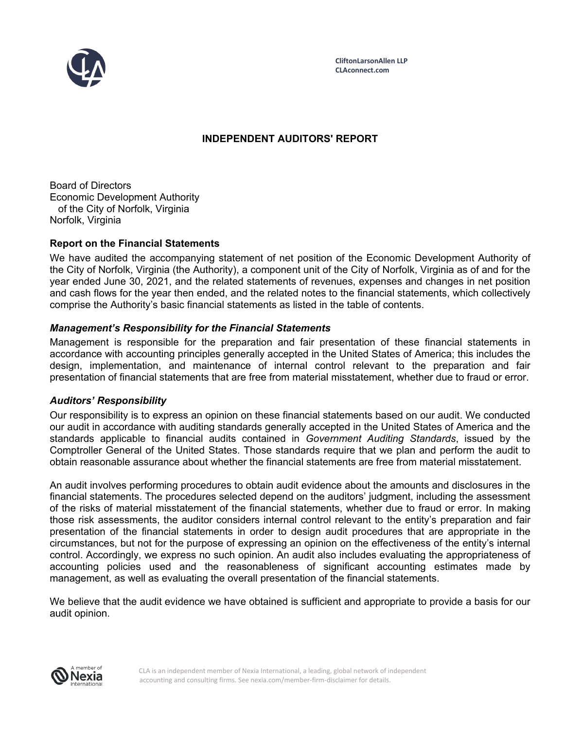

**CliftonLarsonAllen LLP CLAconnect.com**

## **INDEPENDENT AUDITORS' REPORT**

Board of Directors Economic Development Authority of the City of Norfolk, Virginia Norfolk, Virginia

## **Report on the Financial Statements**

We have audited the accompanying statement of net position of the Economic Development Authority of the City of Norfolk, Virginia (the Authority), a component unit of the City of Norfolk, Virginia as of and for the year ended June 30, 2021, and the related statements of revenues, expenses and changes in net position and cash flows for the year then ended, and the related notes to the financial statements, which collectively comprise the Authority's basic financial statements as listed in the table of contents.

## *Management's Responsibility for the Financial Statements*

Management is responsible for the preparation and fair presentation of these financial statements in accordance with accounting principles generally accepted in the United States of America; this includes the design, implementation, and maintenance of internal control relevant to the preparation and fair presentation of financial statements that are free from material misstatement, whether due to fraud or error.

### *Auditors' Responsibility*

Our responsibility is to express an opinion on these financial statements based on our audit. We conducted our audit in accordance with auditing standards generally accepted in the United States of America and the standards applicable to financial audits contained in *Government Auditing Standards*, issued by the Comptroller General of the United States. Those standards require that we plan and perform the audit to obtain reasonable assurance about whether the financial statements are free from material misstatement.

An audit involves performing procedures to obtain audit evidence about the amounts and disclosures in the financial statements. The procedures selected depend on the auditors' judgment, including the assessment of the risks of material misstatement of the financial statements, whether due to fraud or error. In making those risk assessments, the auditor considers internal control relevant to the entity's preparation and fair presentation of the financial statements in order to design audit procedures that are appropriate in the circumstances, but not for the purpose of expressing an opinion on the effectiveness of the entity's internal control. Accordingly, we express no such opinion. An audit also includes evaluating the appropriateness of accounting policies used and the reasonableness of significant accounting estimates made by management, as well as evaluating the overall presentation of the financial statements.

We believe that the audit evidence we have obtained is sufficient and appropriate to provide a basis for our audit opinion.